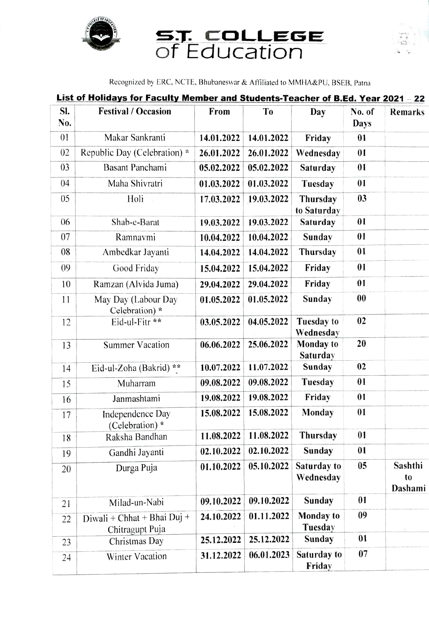

## S.T. COLLEGE<br>of Education



Recognized by ERC, NCTE. Bhubaneswar & Aftiliated to MMHA&PU, BSEB. Patna

|  |  |  | List of Holidays for Faculty Member and Students-Teacher of B.Ed. Year 2021 - 22 |  |  |  |
|--|--|--|----------------------------------------------------------------------------------|--|--|--|
|  |  |  |                                                                                  |  |  |  |
|  |  |  |                                                                                  |  |  |  |

| SI.<br>No. | <b>Festival / Occasion</b>                     | From       | T <sub>0</sub> | Day                         | No. of<br>Days    | <b>Remarks</b>                       |
|------------|------------------------------------------------|------------|----------------|-----------------------------|-------------------|--------------------------------------|
| 01         | Makar Sankranti                                | 14.01.2022 | 14.01.2022     | Friday                      | 01                |                                      |
| 02         | Republic Day (Celebration) *                   | 26.01.2022 | 26.01.2022     | Wednesday                   | 01                |                                      |
| 03         | Basant Panchami                                | 05.02.2022 | 05.02.2022     | Saturday                    | 01                |                                      |
| 04         | Maha Shivratri                                 | 01.03.2022 | 01.03.2022     | Tuesday                     | 01                |                                      |
| 05         | Holi                                           | 17.03.2022 | 19.03.2022     | Thursday<br>to Saturday     | 03                |                                      |
| 06         | Shab-e-Barat                                   | 19.03.2022 | 19.03.2022     | Saturday                    | 01                |                                      |
| 07         | Ramnavmi                                       | 10.04.2022 | 10.04.2022     | Sunday                      | 01                |                                      |
| 08         | Ambedkar Jayanti                               | 14.04.2022 | 14.04.2022     | Thursday                    | 01                |                                      |
| 09         | Good Friday                                    | 15.04.2022 | 15.04.2022     | Friday                      | 01                |                                      |
| 10         | Ramzan (Alvida Juma)                           | 29.04.2022 | 29.04.2022     | Friday                      | 01                |                                      |
| 11         | May Day (Labour Day<br>Celebration) *          | 01.05.2022 | 01.05.2022     | Sunday                      | $\boldsymbol{00}$ |                                      |
| 12         | Eid-ul-Fitr **                                 | 03.05.2022 | 04.05.2022     | Tuesday to<br>Wednesday     | 02                |                                      |
| 13         | <b>Summer Vacation</b>                         | 06.06.2022 | 25.06.2022     | Monday to<br>Saturday       | 20                |                                      |
| 14         | Eid-ul-Zoha (Bakrid) **                        | 10.07.2022 | 11.07.2022     | Sunday                      | 02                |                                      |
| 15         | Muharram                                       | 09.08.2022 | 09.08.2022     | Tuesday                     | 01                |                                      |
| 16         | Janmashtami                                    | 19.08.2022 | 19.08.2022     | Friday                      | 01                |                                      |
| 17         | Independence Day<br>(Celebration) *            | 15.08.2022 | 15.08.2022     | Monday                      | 01                |                                      |
| 18         | Raksha Bandhan                                 | 11.08.2022 | 11.08.2022     | Thursday                    | 01                |                                      |
| 19         | Gandhi Jayanti                                 | 02.10.2022 | 02.10.2022     | Sunday                      | 01                |                                      |
| 20         | Durga Puja                                     | 01.10.2022 | 05.10.2022     | Saturday to<br>Wednesday    | 05                | Sashthi<br>t <sub>0</sub><br>Dashami |
| 21         | Milad-un-Nabi                                  | 09.10.2022 | 09.10.2022     | <b>Sunday</b>               | 01                |                                      |
| 22         | Diwali + Chhat + Bhai Duj +<br>Chitragupt Puja | 24.10.2022 | 01.11.2022     | <b>Monday</b> to<br>Tuesday | 09                |                                      |
| 23         | Christmas Day                                  | 25.12.2022 | 25.12.2022     | Sunday                      | 01                |                                      |
| 24         | <b>Winter Vacation</b>                         | 31.12.2022 | 06.01.2023     | Saturday to<br>Friday       | 07                |                                      |